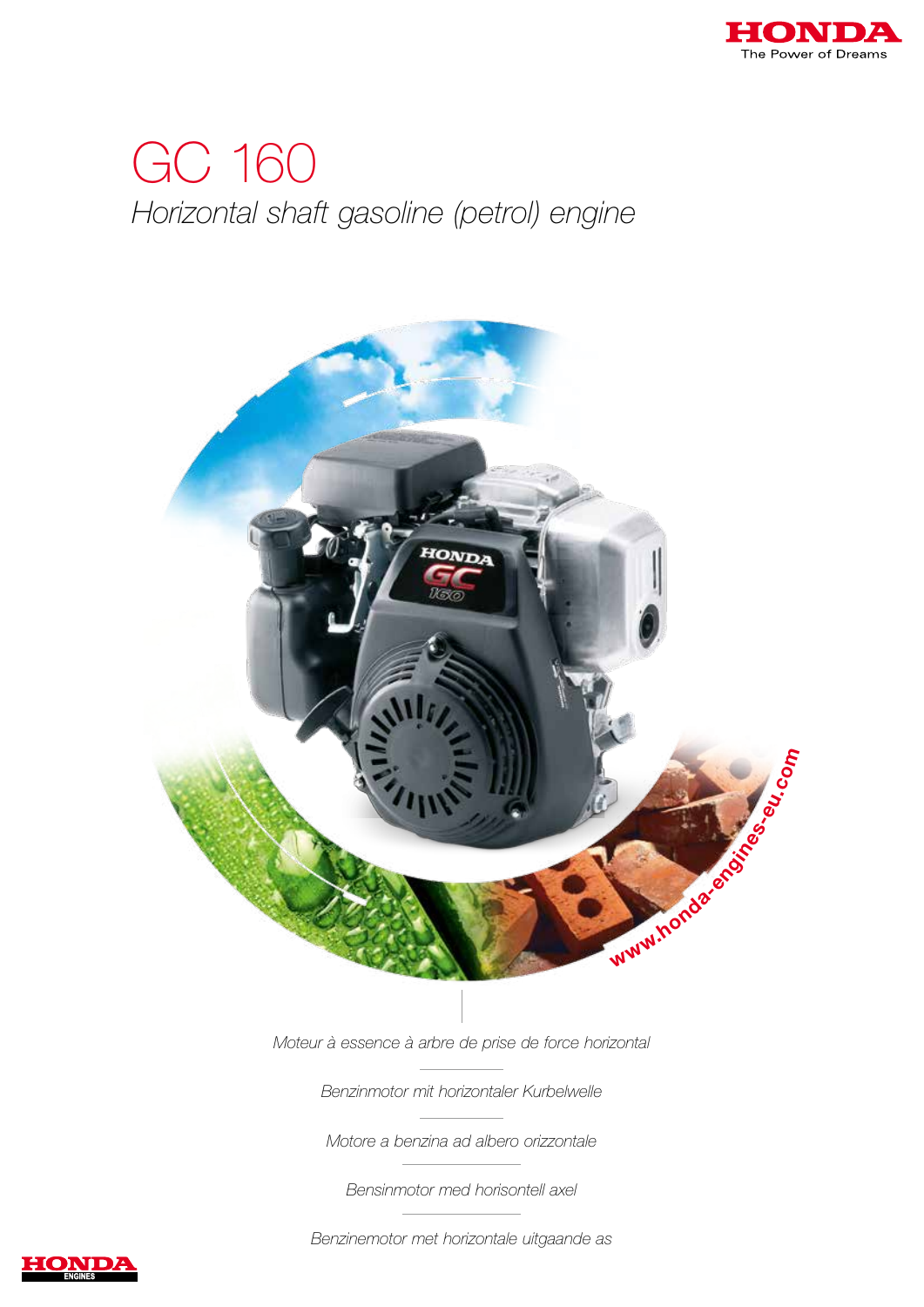

# GC 160 Horizontal shaft gasoline (petrol) engine



Moteur à essence à arbre de prise de force horizontal

Benzinmotor mit horizontaler Kurbelwelle

Motore a benzina ad albero orizzontale

Bensinmotor med horisontell axel

Benzinemotor met horizontale uitgaande as

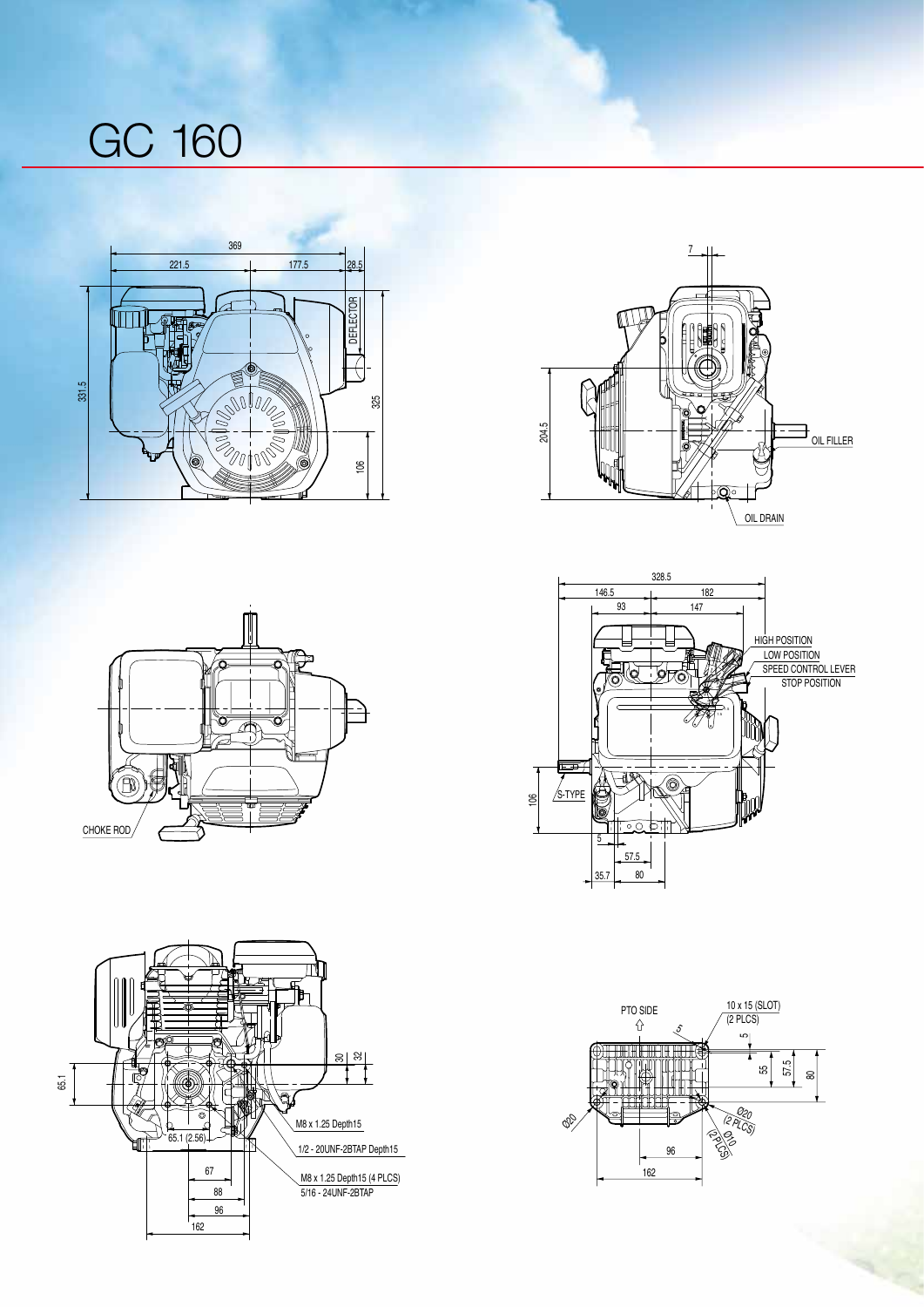# GC 160











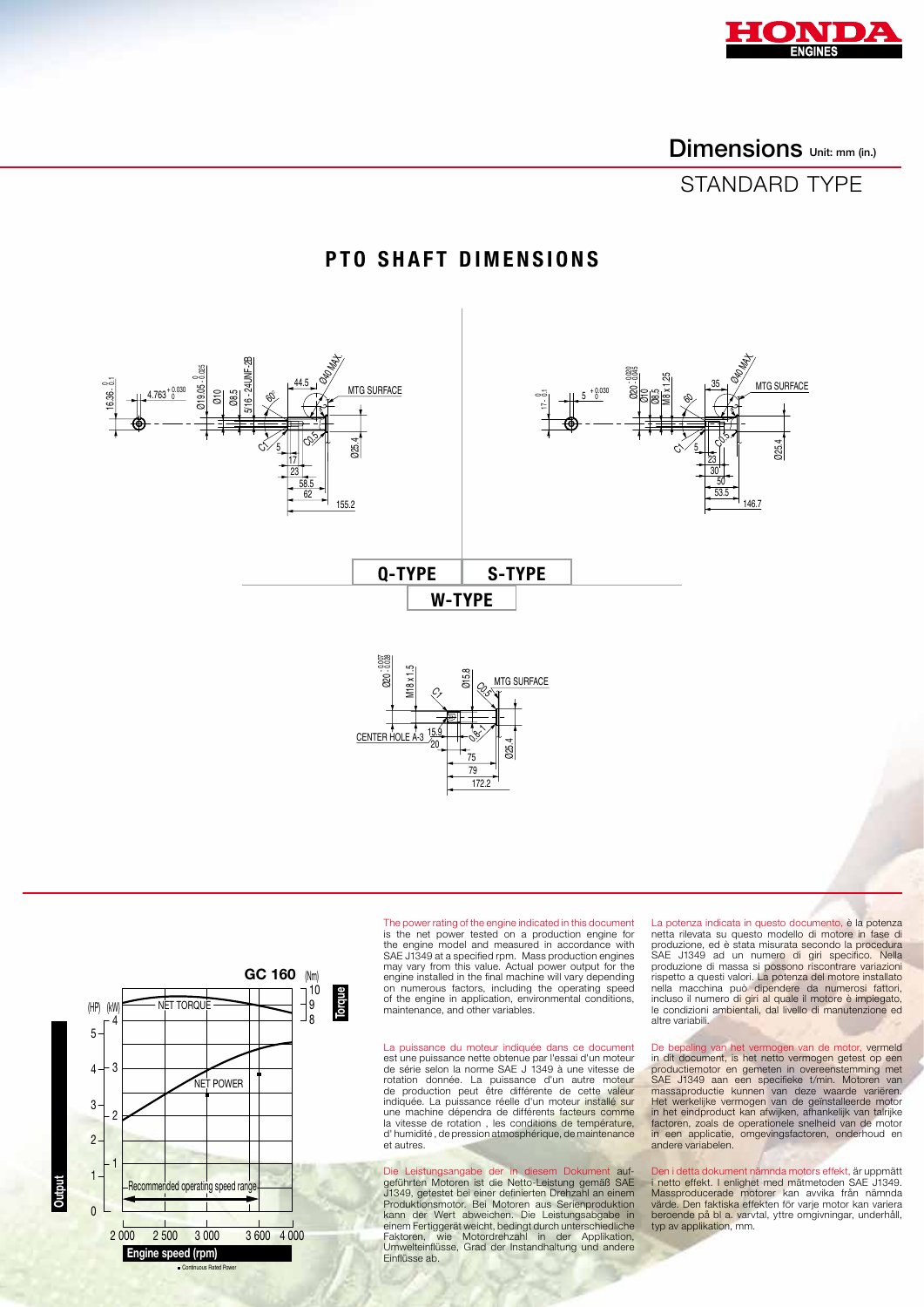

Dimensions Unit: mm (in.)

## STANDARD TYPE

### Ø19.05 0- 0.025  $4.763^{+0.030}_{-0.030}$ 16.36 0 - 0.1 Ø10 Ø8.5 5/16 - 24UNF-2B 44.5 17 23  $\frac{5}{5}$   $\frac{1}{5}$   $\frac{1}{2}$   $\frac{1}{2}$   $\frac{1}{2}$   $\frac{1}{2}$   $\frac{1}{2}$   $\frac{1}{2}$   $\frac{1}{2}$   $\frac{1}{2}$   $\frac{1}{2}$   $\frac{1}{2}$   $\frac{1}{2}$   $\frac{1}{2}$   $\frac{1}{2}$   $\frac{1}{2}$   $\frac{1}{2}$   $\frac{1}{2}$   $\frac{1}{2}$   $\frac{1}{2}$   $\frac{1}{2}$   $\frac{1}{2}$  MTG SURFACE **ORIGINA** ج<u>-</u> 58.5 62 155.2  $\mathscr{E}_{\mathcal{S}}$ C) 60° Ø15.8 Ø25.4 CENTER HC MTG SURFACE M18 x 1.5 Ø20 - 0.007 - 0.028 79 75  $\frac{15.9}{20}$   $\left| \frac{1}{2}\right\rangle$ C0.5 Ç, Q-type S-type W-type 146.7 Ø20 - 0.020 - 0.045  $5 + 0.030$  $\overline{\phantom{0}}$ 17  $\circ$ <u>ج</u> Ø10 Ø8.5 M8 x 1.25 35 <u>23</u> 30  $\frac{5}{2}$   $\frac{9}{2}$   $\frac{1}{2}$   $\frac{3}{2}$ MTG SURFACE مچ 50 53.5  $\phi_{\widetilde{\varphi}}$ C) 60

## PTO SHAFT DIMENSIONS



The power rating of the engine indicated in this document is the net power tested on a production engine for the engine model and measured in accordance with SAE J1349 at a specified rpm. Mass production engines may vary from this value. Actual power output for the engine installed in the final machine will vary depending on numerous factors, including the operating speed of the engine in application, environmental conditions, of the origins in approacher, one

172.2

La puissance du moteur indiquée dans ce document est une puissance nette obtenue par l'essai d'un moteur<br>de série selon la norme SAE J 1349 à une vitesse de<br>rotation donnée. La puissance d'un autre moteur<br>de production peut être différente de cette valeur indiquée. La puissance réelle d'un moteur installé sur une machine dépendra de différents facteurs comme la vitesse de rotation , les conditions de température, d' humidité, de pression atmosphérique, de maintenance et autres.

Die Leistungsangabe der in diesem Dokument auf-<br>geführten Motoren ist die Netto-Leistung gemäß SAE<br>J1349, getestet bei einer definierten Drehzahl an einem<br>Produktionsmotor. Bei Motoren aus Serienproduktion<br>kann der Wert ab Faktoren, wie Motordrehzahl in der Applikation, Umwelteinflüsse, Grad der Instandhaltung und andere Einflüsse ab.

La potenza indicata in questo documento, è la potenza netta rilevata su questo modello di motore in fase di<br>produzione, ed è stata misurata secondo la procedura<br>SAE J1349 ad un numero di giri specifico. Nella<br>produzione di massa si possono riscontrare variazioni rispetto a questi valori. La potenza del motore installato<br>nella macchina può dipendere da numerosi fattori,<br>incluso il numero di giri al quale il motore è impiegato,<br>le condizioni ambientali, dal livello di manutenzione e altre variabili.

De bepaling van het vermogen van de motor, vermeld in dit document, is het netto vermogen getest op een productiemotor en gemeten in overeenstemming met<br>SAE J1349 aan een specifieke t/min. Motoren van<br>massaproductie kunnen van deze waarde variëren.<br>Het werkelijke vermogen van de geïnstalleerde motor<br>in het eindproduct kan af in een applicatie, omgevingsfactoren, onderhoud en andere variabelen.

Den i detta dokument nämnda motors effekt, är uppmätt<br>1 netto effekt. I enlighet med mätmetoden SAE J1349.<br>Massproducerade motorer kan avvika från nämnda<br>värde. Den faktiska effekten för varje motor kan variera<br>beroende på typ av applikation, mm.